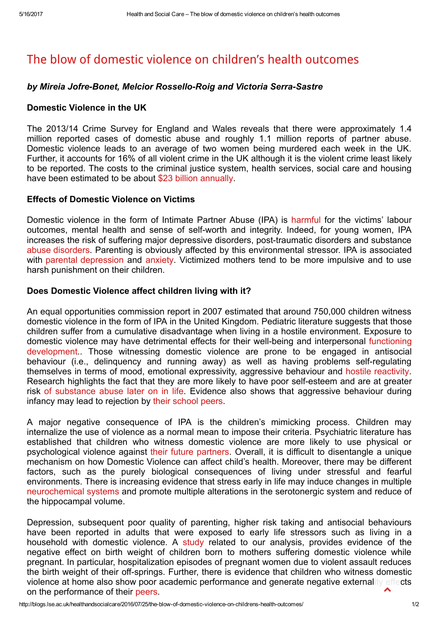# The blow of domestic violence on children's health [outcomes](http://blogs.lse.ac.uk/healthandsocialcare/2016/07/25/the-blow-of-domestic-violence-on-childrens-health-outcomes/)

# by Mireia Jofre-Bonet, Melcior Rossello-Roig and Victoria Serra-Sastre

# Domestic Violence in the UK

The 2013/14 Crime Survey for England and Wales reveals that there were approximately 1.4 million reported cases of domestic abuse and roughly 1.1 million reports of partner abuse. Domestic violence leads to an average of two women being murdered each week in the UK. Further, it accounts for 16% of all violent crime in the UK although it is the violent crime least likely to be reported. The costs to the criminal justice system, health services, social care and housing have been estimated to be about \$23 billion [annually.](http://paladinservice.co.uk/wp-content/uploads/2013/07/cost_of_dv_research_summary-Walby-2004.pdf)

## Effects of Domestic Violence on Victims

Domestic violence in the form of Intimate Partner Abuse (IPA) is [harmful](http://ajp.psychiatryonline.org/doi/abs/10.1176/appi.ajp.2015.15070853?journalCode=ajp) for the victims' labour outcomes, mental health and sense of self-worth and integrity. Indeed, for young women, IPA increases the risk of suffering major depressive disorders, post-traumatic disorders and substance abuse [disorders.](https://www.apa.org/pubs/journals/releases/men-12-2-97.pdf) Parenting is obviously affected by this environmental stressor. IPA is associated with parental [depression](http://jiv.sagepub.com/content/18/8/924.short) and [anxiety.](http://search.proquest.com/openview/135afe6752c22707eb3e51817967963f/1?pq-origsite=gscholar) Victimized mothers tend to be more impulsive and to use harsh punishment on their children.

## Does Domestic Violence affect children living with it?

An equal opportunities commission report in 2007 estimated that around 750,000 children witness domestic violence in the form of IPA in the United Kingdom. Pediatric literature suggests that those children suffer from a cumulative disadvantage when living in a hostile environment. Exposure to domestic violence may have detrimental effects for their well-being and interpersonal functioning [development..](http://www.apa.org/pubs/journals/releases/ccp-714741.pdf) Those witnessing domestic violence are prone to be engaged in antisocial behaviour (i.e., delinquency and running away) as well as having problems self-regulating themselves in terms of mood, emotional expressivity, aggressive behaviour and hostile [reactivity.](http://link.springer.com/article/10.1007%2Fs11121-011-0223-8) Research highlights the fact that they are more likely to have poor self-esteem and are at greater risk of [substance](http://citeseerx.ist.psu.edu/viewdoc/download?doi=10.1.1.582.5113&rep=rep1&type=pdf) abuse later on in life. Evidence also shows that aggressive behaviour during infancy may lead to rejection by their [school](http://www.ncbi.nlm.nih.gov/pmc/articles/PMC2764280/) peers.

A major negative consequence of IPA is the children's mimicking process. Children may internalize the use of violence as a normal mean to impose their criteria. Psychiatric literature has established that children who witness domestic violence are more likely to use physical or psychological violence against their future [partners](http://psycnet.apa.org/index.cfm?fa=buy.optionToBuy&id=1998-10592-002). Overall, it is difficult to disentangle a unique mechanism on how Domestic Violence can affect child's health. Moreover, there may be different factors, such as the purely biological consequences of living under stressful and fearful environments. There is increasing evidence that stress early in life may induce changes in multiple [neurochemical](http://www.pnas.org/content/101/49/17316.short) systems and promote multiple alterations in the serotonergic system and reduce of the hippocampal volume.

Depression, subsequent poor quality of parenting, higher risk taking and antisocial behaviours have been reported in adults that were exposed to early life stressors such as living in a household with domestic violence. A [study](http://jhr.uwpress.org/content/46/3/518.short) related to our analysis, provides evidence of the negative effect on birth weight of children born to mothers suffering domestic violence while pregnant. In particular, hospitalization episodes of pregnant women due to violent assault reduces the birth weight of their off-springs. Further, there is evidence that children who witness domestic violence at home also show poor academic performance and generate negative externality effects on the performance of their [peers](http://www.ingentaconnect.com/content/aea/aejae/2010/00000002/00000001/art00008).